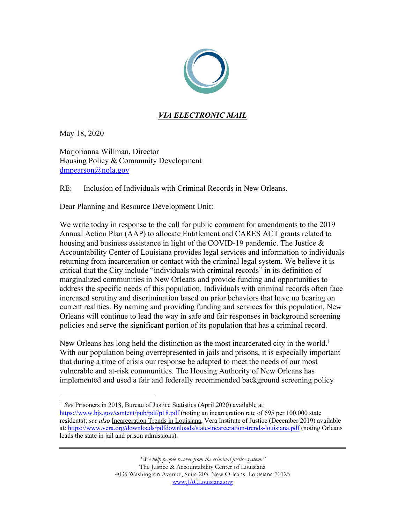

## *VIA ELECTRONIC MAIL*

May 18, 2020

Marjorianna Willman, Director Housing Policy & Community Development dmpearson@nola.gov

RE: Inclusion of Individuals with Criminal Records in New Orleans.

Dear Planning and Resource Development Unit:

We write today in response to the call for public comment for amendments to the 2019 Annual Action Plan (AAP) to allocate Entitlement and CARES ACT grants related to housing and business assistance in light of the COVID-19 pandemic. The Justice & Accountability Center of Louisiana provides legal services and information to individuals returning from incarceration or contact with the criminal legal system. We believe it is critical that the City include "individuals with criminal records" in its definition of marginalized communities in New Orleans and provide funding and opportunities to address the specific needs of this population. Individuals with criminal records often face increased scrutiny and discrimination based on prior behaviors that have no bearing on current realities. By naming and providing funding and services for this population, New Orleans will continue to lead the way in safe and fair responses in background screening policies and serve the significant portion of its population that has a criminal record.

New Orleans has long held the distinction as the most incarcerated city in the world.<sup>1</sup> With our population being overrepresented in jails and prisons, it is especially important that during a time of crisis our response be adapted to meet the needs of our most vulnerable and at-risk communities. The Housing Authority of New Orleans has implemented and used a fair and federally recommended background screening policy

<sup>&</sup>lt;sup>1</sup> *See* Prisoners in 2018, Bureau of Justice Statistics (April 2020) available at: https://www.bjs.gov/content/pub/pdf/p18.pdf (noting an incarceration rate of 695 per 100,000 state residents); *see also* Incarceration Trends in Louisiana, Vera Institute of Justice (December 2019) available at: https://www.vera.org/downloads/pdfdownloads/state-incarceration-trends-louisiana.pdf (noting Orleans leads the state in jail and prison admissions).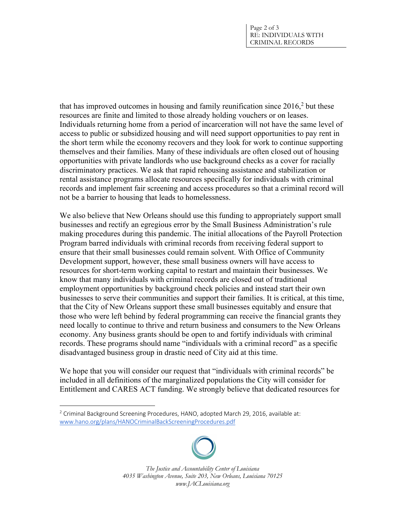that has improved outcomes in housing and family reunification since 2016,2 but these resources are finite and limited to those already holding vouchers or on leases. Individuals returning home from a period of incarceration will not have the same level of access to public or subsidized housing and will need support opportunities to pay rent in the short term while the economy recovers and they look for work to continue supporting themselves and their families. Many of these individuals are often closed out of housing opportunities with private landlords who use background checks as a cover for racially discriminatory practices. We ask that rapid rehousing assistance and stabilization or rental assistance programs allocate resources specifically for individuals with criminal records and implement fair screening and access procedures so that a criminal record will not be a barrier to housing that leads to homelessness.

We also believe that New Orleans should use this funding to appropriately support small businesses and rectify an egregious error by the Small Business Administration's rule making procedures during this pandemic. The initial allocations of the Payroll Protection Program barred individuals with criminal records from receiving federal support to ensure that their small businesses could remain solvent. With Office of Community Development support, however, these small business owners will have access to resources for short-term working capital to restart and maintain their businesses. We know that many individuals with criminal records are closed out of traditional employment opportunities by background check policies and instead start their own businesses to serve their communities and support their families. It is critical, at this time, that the City of New Orleans support these small businesses equitably and ensure that those who were left behind by federal programming can receive the financial grants they need locally to continue to thrive and return business and consumers to the New Orleans economy. Any business grants should be open to and fortify individuals with criminal records. These programs should name "individuals with a criminal record" as a specific disadvantaged business group in drastic need of City aid at this time.

We hope that you will consider our request that "individuals with criminal records" be included in all definitions of the marginalized populations the City will consider for Entitlement and CARES ACT funding. We strongly believe that dedicated resources for

<sup>&</sup>lt;sup>2</sup> Criminal Background Screening Procedures, HANO, adopted March 29, 2016, available at: www.hano.org/plans/HANOCriminalBackScreeningProcedures.pdf



*The Justice and Accountability Center of Louisiana 4035 Washington Avenue, Suite 203, New Orleans, Louisiana 70125 www.JACLouisiana.org*